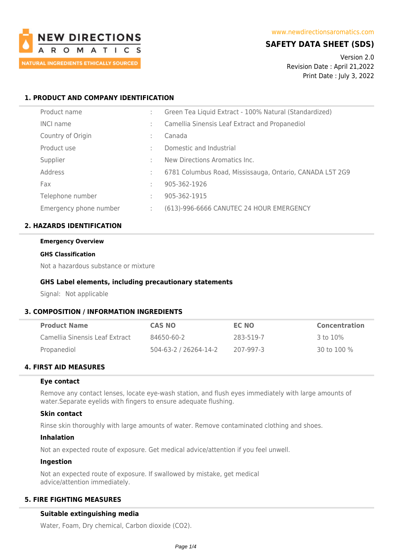

# **SAFETY DATA SHEET (SDS)**

Version 2.0 Revision Date : April 21,2022 Print Date : July 3, 2022

# **1. PRODUCT AND COMPANY IDENTIFICATION**

| Product name           |   | Green Tea Liquid Extract - 100% Natural (Standardized)   |
|------------------------|---|----------------------------------------------------------|
| <b>INCI name</b>       |   | Camellia Sinensis Leaf Extract and Propanediol           |
| Country of Origin      | ÷ | Canada                                                   |
| Product use            |   | Domestic and Industrial                                  |
| Supplier               |   | New Directions Aromatics Inc.                            |
| Address                |   | 6781 Columbus Road, Mississauga, Ontario, CANADA L5T 2G9 |
| Fax                    |   | 905-362-1926                                             |
| Telephone number       | ÷ | 905-362-1915                                             |
| Emergency phone number |   | (613)-996-6666 CANUTEC 24 HOUR EMERGENCY                 |

## **2. HAZARDS IDENTIFICATION**

#### **Emergency Overview**

#### **GHS Classification**

Not a hazardous substance or mixture

## **GHS Label elements, including precautionary statements**

Signal: Not applicable

## **3. COMPOSITION / INFORMATION INGREDIENTS**

| <b>Product Name</b>            | <b>CAS NO</b>         | EC NO     | <b>Concentration</b> |
|--------------------------------|-----------------------|-----------|----------------------|
| Camellia Sinensis Leaf Extract | 84650-60-2            | 283-519-7 | 3 to 10%             |
| Propanediol                    | 504-63-2 / 26264-14-2 | 207-997-3 | 30 to 100 $\%$       |

# **4. FIRST AID MEASURES**

## **Eye contact**

Remove any contact lenses, locate eye-wash station, and flush eyes immediately with large amounts of water.Separate eyelids with fingers to ensure adequate flushing.

## **Skin contact**

Rinse skin thoroughly with large amounts of water. Remove contaminated clothing and shoes.

## **Inhalation**

Not an expected route of exposure. Get medical advice/attention if you feel unwell.

## **Ingestion**

Not an expected route of exposure. If swallowed by mistake, get medical advice/attention immediately.

# **5. FIRE FIGHTING MEASURES**

## **Suitable extinguishing media**

Water, Foam, Dry chemical, Carbon dioxide (CO2).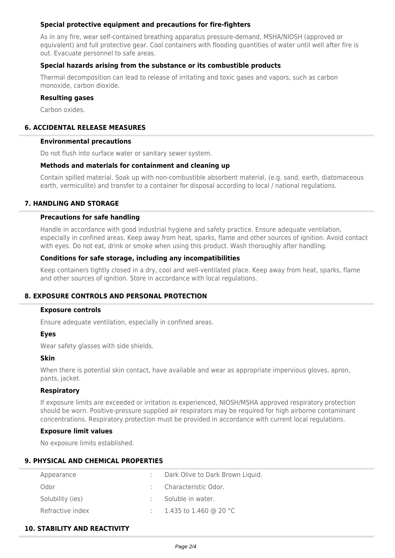## **Special protective equipment and precautions for fire-fighters**

As in any fire, wear self-contained breathing apparatus pressure-demand, MSHA/NIOSH (approved or equivalent) and full protective gear. Cool containers with flooding quantities of water until well after fire is out. Evacuate personnel to safe areas.

## **Special hazards arising from the substance or its combustible products**

Thermal decomposition can lead to release of irritating and toxic gases and vapors, such as carbon monoxide, carbon dioxide.

## **Resulting gases**

Carbon oxides.

# **6. ACCIDENTAL RELEASE MEASURES**

### **Environmental precautions**

Do not flush into surface water or sanitary sewer system.

## **Methods and materials for containment and cleaning up**

Contain spilled material. Soak up with non-combustible absorbent material, (e.g. sand, earth, diatomaceous earth, vermiculite) and transfer to a container for disposal according to local / national regulations.

## **7. HANDLING AND STORAGE**

## **Precautions for safe handling**

Handle in accordance with good industrial hygiene and safety practice. Ensure adequate ventilation, especially in confined areas. Keep away from heat, sparks, flame and other sources of ignition. Avoid contact with eyes. Do not eat, drink or smoke when using this product. Wash thoroughly after handling.

## **Conditions for safe storage, including any incompatibilities**

Keep containers tightly closed in a dry, cool and well-ventilated place. Keep away from heat, sparks, flame and other sources of ignition. Store in accordance with local regulations.

## **8. EXPOSURE CONTROLS AND PERSONAL PROTECTION**

#### **Exposure controls**

Ensure adequate ventilation, especially in confined areas.

## **Eyes**

Wear safety glasses with side shields.

#### **Skin**

When there is potential skin contact, have available and wear as appropriate impervious gloves, apron, pants, jacket.

## **Respiratory**

If exposure limits are exceeded or irritation is experienced, NIOSH/MSHA approved respiratory protection should be worn. Positive-pressure supplied air respirators may be required for high airborne contaminant concentrations. Respiratory protection must be provided in accordance with current local regulations.

## **Exposure limit values**

No exposure limits established.

# **9. PHYSICAL AND CHEMICAL PROPERTIES**

| Appearance       | Dark Olive to Dark Brown Liquid. |
|------------------|----------------------------------|
| Odor             | Characteristic Odor.             |
| Solubility (ies) | Soluble in water.                |
| Refractive index | 1.435 to 1.460 @ 20 °C           |

## **10. STABILITY AND REACTIVITY**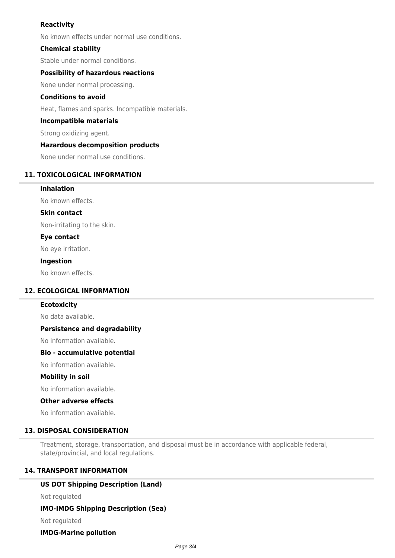# **Reactivity**

No known effects under normal use conditions.

## **Chemical stability**

Stable under normal conditions.

### **Possibility of hazardous reactions**

None under normal processing.

### **Conditions to avoid**

Heat, flames and sparks. Incompatible materials.

### **Incompatible materials**

Strong oxidizing agent.

### **Hazardous decomposition products**

None under normal use conditions.

### **11. TOXICOLOGICAL INFORMATION**

**Inhalation**

No known effects.

**Skin contact**

Non-irritating to the skin.

### **Eye contact**

No eye irritation.

#### **Ingestion**

No known effects.

## **12. ECOLOGICAL INFORMATION**

#### **Ecotoxicity**

No data available.

#### **Persistence and degradability**

No information available.

#### **Bio - accumulative potential**

No information available.

### **Mobility in soil**

No information available.

#### **Other adverse effects**

No information available.

# **13. DISPOSAL CONSIDERATION**

Treatment, storage, transportation, and disposal must be in accordance with applicable federal, state/provincial, and local regulations.

# **14. TRANSPORT INFORMATION**

# **US DOT Shipping Description (Land)**

Not regulated

# **IMO-IMDG Shipping Description (Sea)**

Not regulated

# **IMDG-Marine pollution**